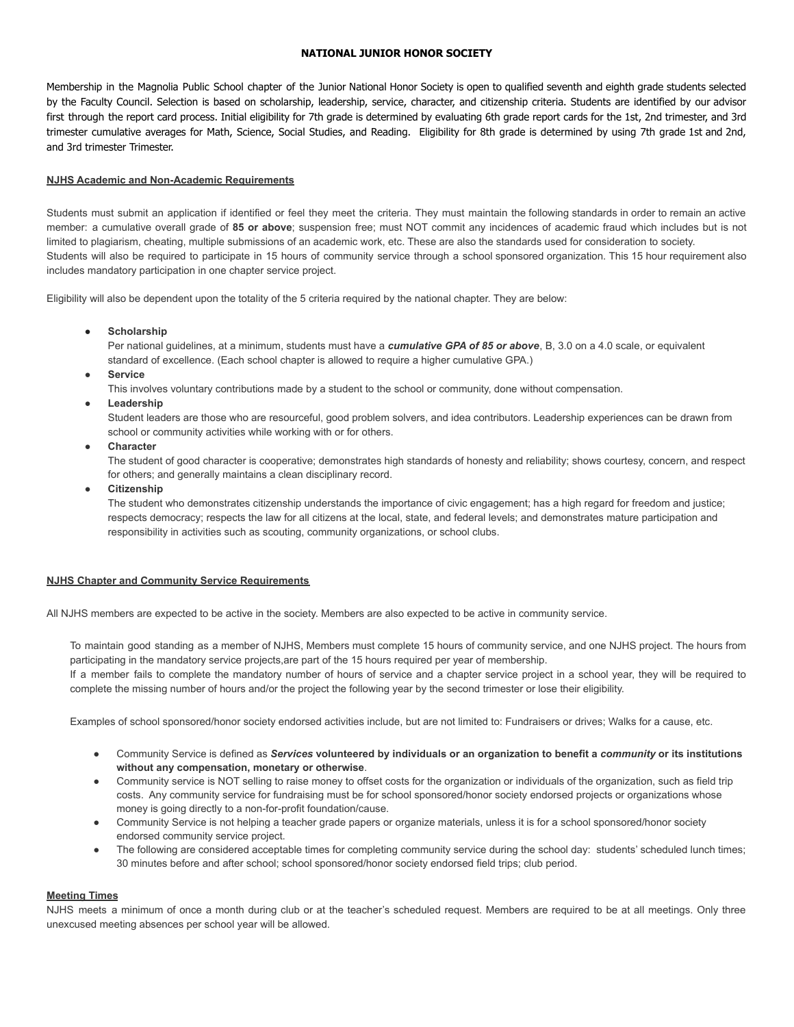## **NATIONAL JUNIOR HONOR SOCIETY**

Membership in the Magnolia Public School chapter of the Junior National Honor Society is open to qualified seventh and eighth grade students selected by the Faculty Council. Selection is based on scholarship, leadership, service, character, and citizenship criteria. Students are identified by our advisor first through the report card process. Initial eligibility for 7th grade is determined by evaluating 6th grade report cards for the 1st, 2nd trimester, and 3rd trimester cumulative averages for Math, Science, Social Studies, and Reading. Eligibility for 8th grade is determined by using 7th grade 1st and 2nd, and 3rd trimester Trimester.

## **NJHS Academic and Non-Academic Requirements**

Students must submit an application if identified or feel they meet the criteria. They must maintain the following standards in order to remain an active member: a cumulative overall grade of **85 or above**; suspension free; must NOT commit any incidences of academic fraud which includes but is not limited to plagiarism, cheating, multiple submissions of an academic work, etc. These are also the standards used for consideration to society. Students will also be required to participate in 15 hours of community service through a school sponsored organization. This 15 hour requirement also includes mandatory participation in one chapter service project.

Eligibility will also be dependent upon the totality of the 5 criteria required by the national chapter. They are below:

● **Scholarship**

Per national guidelines, at a minimum, students must have a *cumulative GPA of 85 or above*, B, 3.0 on a 4.0 scale, or equivalent standard of excellence. (Each school chapter is allowed to require a higher cumulative GPA.)

● **Service**

This involves voluntary contributions made by a student to the school or community, done without compensation.

**Leadership** 

Student leaders are those who are resourceful, good problem solvers, and idea contributors. Leadership experiences can be drawn from school or community activities while working with or for others.

● **Character**

The student of good character is cooperative; demonstrates high standards of honesty and reliability; shows courtesy, concern, and respect for others; and generally maintains a clean disciplinary record.

● **Citizenship**

The student who demonstrates citizenship understands the importance of civic engagement; has a high regard for freedom and justice; respects democracy; respects the law for all citizens at the local, state, and federal levels; and demonstrates mature participation and responsibility in activities such as scouting, community organizations, or school clubs.

#### **NJHS Chapter and Community Service Requirements**

All NJHS members are expected to be active in the society. Members are also expected to be active in community service.

To maintain good standing as a member of NJHS, Members must complete 15 hours of community service, and one NJHS project. The hours from participating in the mandatory service projects,are part of the 15 hours required per year of membership.

If a member fails to complete the mandatory number of hours of service and a chapter service project in a school year, they will be required to complete the missing number of hours and/or the project the following year by the second trimester or lose their eligibility.

Examples of school sponsored/honor society endorsed activities include, but are not limited to: Fundraisers or drives; Walks for a cause, etc.

- Community Service is defined as Services volunteered by individuals or an organization to benefit a community or its institutions **without any compensation, monetary or otherwise**.
- Community service is NOT selling to raise money to offset costs for the organization or individuals of the organization, such as field trip costs. Any community service for fundraising must be for school sponsored/honor society endorsed projects or organizations whose money is going directly to a non-for-profit foundation/cause.
- Community Service is not helping a teacher grade papers or organize materials, unless it is for a school sponsored/honor society endorsed community service project.
- The following are considered acceptable times for completing community service during the school day: students' scheduled lunch times; 30 minutes before and after school; school sponsored/honor society endorsed field trips; club period.

### **Meeting Times**

NJHS meets a minimum of once a month during club or at the teacher's scheduled request. Members are required to be at all meetings. Only three unexcused meeting absences per school year will be allowed.